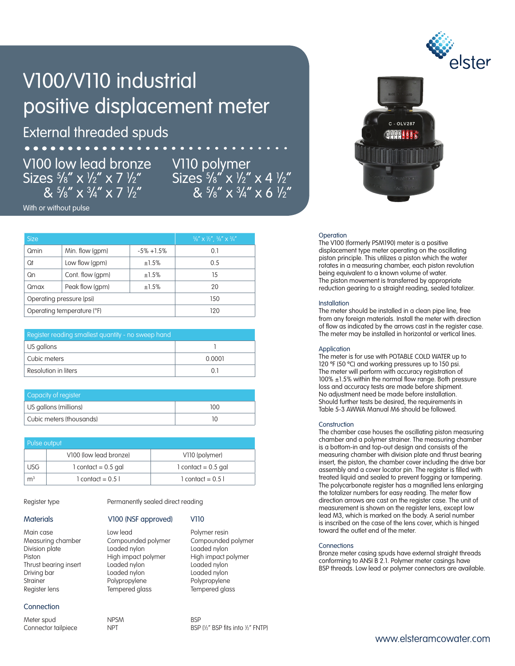# V100/V110 industrial positive displacement meter

External threaded spuds

## V100 low lead bronze Sizes 5 ⁄8" x 1 ⁄2" x 7 1 ⁄2"  $8\frac{5}{8}$ " x  $\frac{3}{4}$ " x 7  $\frac{1}{2}$ "

V110 polymer Sizes 5/8" x 1/2" x 4 1/2"<br>"& 5/8" x 3/4" x 6 1/2

With or without pulse

| <b>Size</b>                |                  |               | $5/8''$ X $1/2''$ , $5/8''$ X $3/4''$ |  |
|----------------------------|------------------|---------------|---------------------------------------|--|
| Qmin                       | Min. flow (gpm)  | $-5\% +1.5\%$ | 0.1                                   |  |
| Qt                         | Low flow (gpm)   | ±1.5%         | 0.5                                   |  |
| Qn                         | Cont. flow (gpm) | ±1.5%         | 15                                    |  |
| Qmax                       | Peak flow (gpm)  | ±1.5%         | 20                                    |  |
| Operating pressure (psi)   |                  |               | 150                                   |  |
| Operating temperature (°F) |                  |               | 120                                   |  |

| Register reading smallest quantity - no sweep hand |        |  |  |
|----------------------------------------------------|--------|--|--|
| US gallons                                         |        |  |  |
| Cubic meters                                       | 0.0001 |  |  |
| Resolution in liters                               |        |  |  |

| Capacity of register     |     |  |  |
|--------------------------|-----|--|--|
| US gallons (millions)    | າດດ |  |  |
| Cubic meters (thousands) |     |  |  |

| Pulse output   |                        |                             |  |  |
|----------------|------------------------|-----------------------------|--|--|
|                | V100 (low lead bronze) | V110 (polymer)              |  |  |
| <b>USG</b>     | $1$ contact = 0.5 gal  | $1$ contact = 0.5 gal       |  |  |
| m <sup>3</sup> | $1$ contact = $0.51$   | $1$ contact = $0.5$ $\vert$ |  |  |

Compounded polymer

Register type **Permanently sealed direct reading** 

Division plate Loaded nylon Loaded nylon Thrust bearing insert Loaded nylon Loaded nylon Strainer en andersprop Polypropylene and Polypropylene<br>
Polypropylene Polypropylene<br>
Polypropylene Polypropylene and Polypropylene Register lens Tempered glass Tempered glass

### **Connection**

Meter spud NPSM BSP Connector tailpiece NPT

Loaded nylon

#### Materials V100 (NSF approved) V110

Main case The Low lead The Polymer resin<br>Measuring chamber Compounded polymer Compounded polymer Piston High impact polymer High impact polymer

⁄2" BSP fits into 1 ⁄2" FNTP)



#### **Operation**

The V100 (formerly PSM190) meter is a positive displacement type meter operating on the oscillating piston principle. This utilizes a piston which the water rotates in a measuring chamber, each piston revolution being equivalent to a known volume of water. The piston movement is transferred by appropriate reduction gearing to a straight reading, sealed totalizer.

#### Installation

The meter should be installed in a clean pipe line, free from any foreign materials. Install the meter with direction of flow as indicated by the arrows cast in the register case. The meter may be installed in horizontal or vertical lines.

#### **Application**

The meter is for use with POTABLE COLD WATER up to 120 ºF (50 ºC) and working pressures up to 150 psi. The meter will perform with accuracy registration of 100% ±1.5% within the normal flow range. Both pressure loss and accuracy tests are made before shipment. No adjustment need be made before installation. Should further tests be desired, the requirements in Table 5-3 AWWA Manual M6 should be followed.

#### **Construction**

The chamber case houses the oscillating piston measuring chamber and a polymer strainer. The measuring chamber is a bottom-in and top-out design and consists of the measuring chamber with division plate and thrust bearing insert, the piston, the chamber cover including the drive bar assembly and a cover locator pin. The register is filled with treated liquid and sealed to prevent fogging or tampering. The polycarbonate register has a magnified lens enlarging the totalizer numbers for easy reading. The meter flow direction arrows are cast on the register case. The unit of measurement is shown on the register lens, except low lead M3, which is marked on the body. A serial number is inscribed on the case of the lens cover, which is hinged toward the outlet end of the meter.

#### **Connections**

Bronze meter casing spuds have external straight threads conforming to ANSI B 2.1. Polymer meter casings have BSP threads. Low lead or polymer connectors are available.